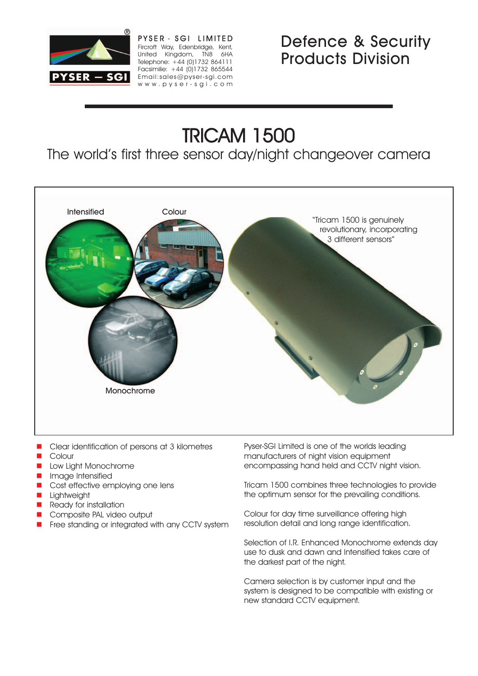

PYSER - SGI LIMITED Fircroft Way, Edenbridge, Kent, United Kingdom, TN8 6HA Telephone: +44 (0)1732 864111 Facsimilie: +44 (0)1732 865544 Email:sales@pyser-sgi.com www.pyser-sgi.com

# Defence & Security Products Division

# TRICAM 1500

The world's first three sensor day/night changeover camera



- **E** Clear identification of persons at 3 kilometres
- **Colour**
- Low Light Monochrome
- Image Intensified
- Cost effective employing one lens
- **Lightweight**
- Ready for installation
- Composite PAL video output
- Free standing or integrated with any CCTV system

Pyser-SGI Limited is one of the worlds leading manufacturers of night vision equipment encompassing hand held and CCTV night vision.

Tricam 1500 combines three technologies to provide the optimum sensor for the prevailing conditions.

Colour for day time surveillance offering high resolution detail and long range identification.

Selection of I.R. Enhanced Monochrome extends day use to dusk and dawn and Intensified takes care of the darkest part of the night.

Camera selection is by customer input and the system is designed to be compatible with existing or new standard CCTV equipment.